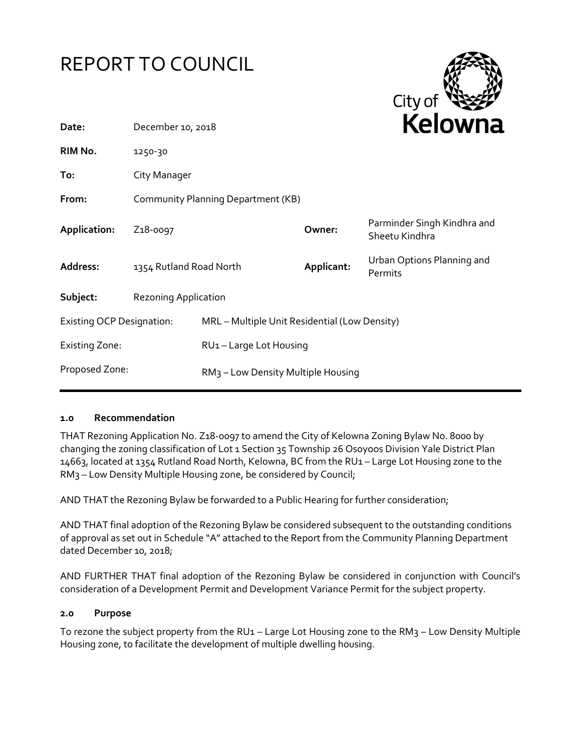



| Date:                            | December 10, 2018                  |                                                |            | <b>NEIUWII</b> d                              |
|----------------------------------|------------------------------------|------------------------------------------------|------------|-----------------------------------------------|
| RIM No.                          | 1250-30                            |                                                |            |                                               |
| To:                              | City Manager                       |                                                |            |                                               |
| From:                            | Community Planning Department (KB) |                                                |            |                                               |
| Application:                     | Z <sub>1</sub> 8-0097              |                                                | Owner:     | Parminder Singh Kindhra and<br>Sheetu Kindhra |
| Address:                         | 1354 Rutland Road North            |                                                | Applicant: | Urban Options Planning and<br>Permits         |
| Subject:                         | <b>Rezoning Application</b>        |                                                |            |                                               |
| <b>Existing OCP Designation:</b> |                                    | MRL - Multiple Unit Residential (Low Density)  |            |                                               |
| <b>Existing Zone:</b>            |                                    | RU1-Large Lot Housing                          |            |                                               |
| Proposed Zone:                   |                                    | RM <sub>3</sub> - Low Density Multiple Housing |            |                                               |

#### **1.0 Recommendation**

THAT Rezoning Application No. Z18-0097 to amend the City of Kelowna Zoning Bylaw No. 8000 by changing the zoning classification of Lot 1 Section 35 Township 26 Osoyoos Division Yale District Plan 14663, located at 1354 Rutland Road North, Kelowna, BC from the RU1 – Large Lot Housing zone to the RM3 – Low Density Multiple Housing zone, be considered by Council;

AND THAT the Rezoning Bylaw be forwarded to a Public Hearing for further consideration;

AND THAT final adoption of the Rezoning Bylaw be considered subsequent to the outstanding conditions of approval as set out in Schedule "A" attached to the Report from the Community Planning Department dated December 10, 2018;

AND FURTHER THAT final adoption of the Rezoning Bylaw be considered in conjunction with Council's consideration of a Development Permit and Development Variance Permit for the subject property.

#### **2.0 Purpose**

To rezone the subject property from the RU1 – Large Lot Housing zone to the RM3 – Low Density Multiple Housing zone, to facilitate the development of multiple dwelling housing.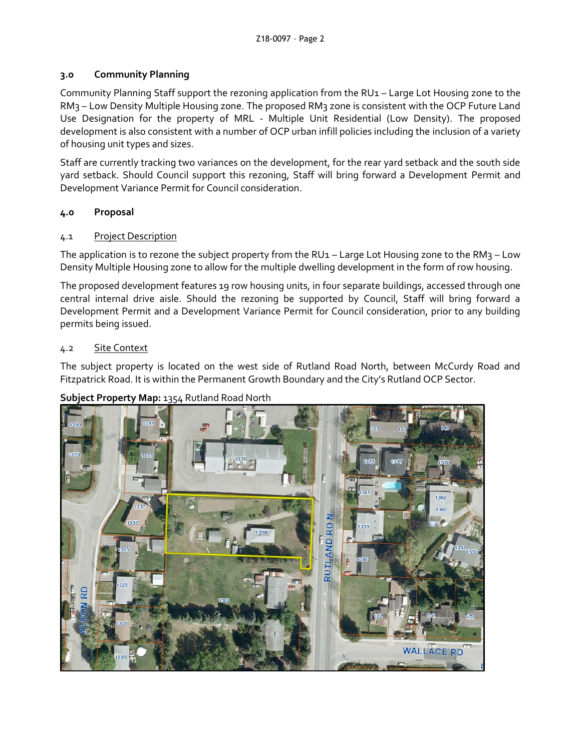## **3.0 Community Planning**

Community Planning Staff support the rezoning application from the RU1 – Large Lot Housing zone to the RM3 – Low Density Multiple Housing zone. The proposed RM3 zone is consistent with the OCP Future Land Use Designation for the property of MRL - Multiple Unit Residential (Low Density). The proposed development is also consistent with a number of OCP urban infill policies including the inclusion of a variety of housing unit types and sizes.

Staff are currently tracking two variances on the development, for the rear yard setback and the south side yard setback. Should Council support this rezoning, Staff will bring forward a Development Permit and Development Variance Permit for Council consideration.

# **4.0 Proposal**

# 4.1 Project Description

The application is to rezone the subject property from the RU1 – Large Lot Housing zone to the RM3 – Low Density Multiple Housing zone to allow for the multiple dwelling development in the form of row housing.

The proposed development features 19 row housing units, in four separate buildings, accessed through one central internal drive aisle. Should the rezoning be supported by Council, Staff will bring forward a Development Permit and a Development Variance Permit for Council consideration, prior to any building permits being issued.

#### 4.2 Site Context

The subject property is located on the west side of Rutland Road North, between McCurdy Road and Fitzpatrick Road. It is within the Permanent Growth Boundary and the City's Rutland OCP Sector.

# **Subject Property Map:** 1354 Rutland Road North